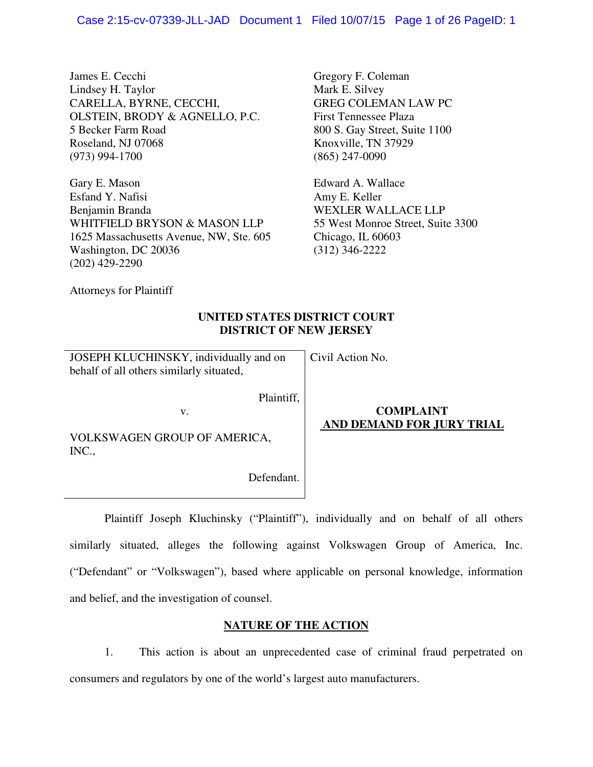James E. Cecchi Lindsey H. Taylor CARELLA, BYRNE, CECCHI, OLSTEIN, BRODY & AGNELLO, P.C. 5 Becker Farm Road Roseland, NJ 07068 (973) 994-1700

Gary E. Mason Esfand Y. Nafisi Benjamin Branda WHITFIELD BRYSON & MASON LLP 1625 Massachusetts Avenue, NW, Ste. 605 Washington, DC 20036 (202) 429-2290

Gregory F. Coleman Mark E. Silvey GREG COLEMAN LAW PC First Tennessee Plaza 800 S. Gay Street, Suite 1100 Knoxville, TN 37929 (865) 247-0090

Edward A. Wallace Amy E. Keller WEXLER WALLACE LLP 55 West Monroe Street, Suite 3300 Chicago, IL 60603 (312) 346-2222

Attorneys for Plaintiff

# **UNITED STATES DISTRICT COURT DISTRICT OF NEW JERSEY**

Civil Action No.

JOSEPH KLUCHINSKY, individually and on behalf of all others similarly situated,

v.

Plaintiff,

VOLKSWAGEN GROUP OF AMERICA, INC.,

Defendant.

# **COMPLAINT AND DEMAND FOR JURY TRIAL**

 Plaintiff Joseph Kluchinsky ("Plaintiff"), individually and on behalf of all others similarly situated, alleges the following against Volkswagen Group of America, Inc. ("Defendant" or "Volkswagen"), based where applicable on personal knowledge, information and belief, and the investigation of counsel.

# **NATURE OF THE ACTION**

1. This action is about an unprecedented case of criminal fraud perpetrated on consumers and regulators by one of the world's largest auto manufacturers.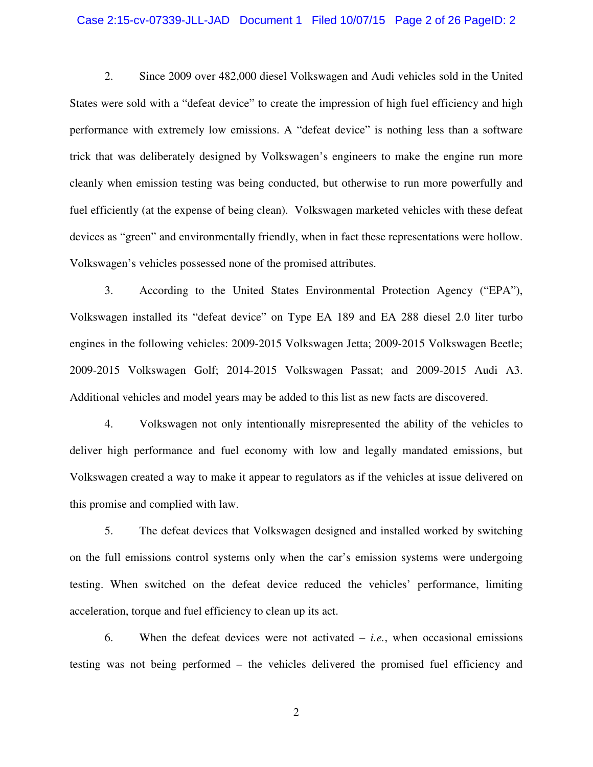#### Case 2:15-cv-07339-JLL-JAD Document 1 Filed 10/07/15 Page 2 of 26 PageID: 2

2. Since 2009 over 482,000 diesel Volkswagen and Audi vehicles sold in the United States were sold with a "defeat device" to create the impression of high fuel efficiency and high performance with extremely low emissions. A "defeat device" is nothing less than a software trick that was deliberately designed by Volkswagen's engineers to make the engine run more cleanly when emission testing was being conducted, but otherwise to run more powerfully and fuel efficiently (at the expense of being clean). Volkswagen marketed vehicles with these defeat devices as "green" and environmentally friendly, when in fact these representations were hollow. Volkswagen's vehicles possessed none of the promised attributes.

3. According to the United States Environmental Protection Agency ("EPA"), Volkswagen installed its "defeat device" on Type EA 189 and EA 288 diesel 2.0 liter turbo engines in the following vehicles: 2009-2015 Volkswagen Jetta; 2009-2015 Volkswagen Beetle; 2009-2015 Volkswagen Golf; 2014-2015 Volkswagen Passat; and 2009-2015 Audi A3. Additional vehicles and model years may be added to this list as new facts are discovered.

4. Volkswagen not only intentionally misrepresented the ability of the vehicles to deliver high performance and fuel economy with low and legally mandated emissions, but Volkswagen created a way to make it appear to regulators as if the vehicles at issue delivered on this promise and complied with law.

5. The defeat devices that Volkswagen designed and installed worked by switching on the full emissions control systems only when the car's emission systems were undergoing testing. When switched on the defeat device reduced the vehicles' performance, limiting acceleration, torque and fuel efficiency to clean up its act.

6. When the defeat devices were not activated – *i.e.*, when occasional emissions testing was not being performed – the vehicles delivered the promised fuel efficiency and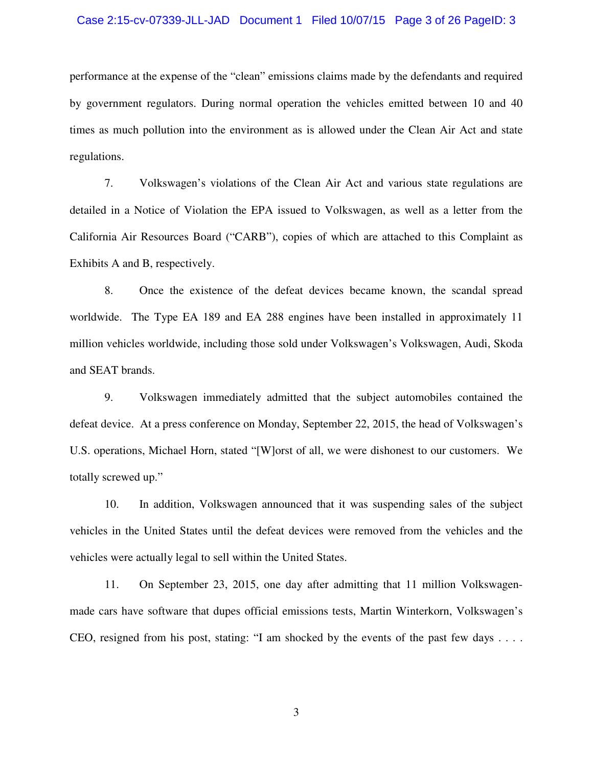#### Case 2:15-cv-07339-JLL-JAD Document 1 Filed 10/07/15 Page 3 of 26 PageID: 3

performance at the expense of the "clean" emissions claims made by the defendants and required by government regulators. During normal operation the vehicles emitted between 10 and 40 times as much pollution into the environment as is allowed under the Clean Air Act and state regulations.

7. Volkswagen's violations of the Clean Air Act and various state regulations are detailed in a Notice of Violation the EPA issued to Volkswagen, as well as a letter from the California Air Resources Board ("CARB"), copies of which are attached to this Complaint as Exhibits A and B, respectively.

8. Once the existence of the defeat devices became known, the scandal spread worldwide. The Type EA 189 and EA 288 engines have been installed in approximately 11 million vehicles worldwide, including those sold under Volkswagen's Volkswagen, Audi, Skoda and SEAT brands.

9. Volkswagen immediately admitted that the subject automobiles contained the defeat device. At a press conference on Monday, September 22, 2015, the head of Volkswagen's U.S. operations, Michael Horn, stated "[W]orst of all, we were dishonest to our customers. We totally screwed up."

10. In addition, Volkswagen announced that it was suspending sales of the subject vehicles in the United States until the defeat devices were removed from the vehicles and the vehicles were actually legal to sell within the United States.

11. On September 23, 2015, one day after admitting that 11 million Volkswagenmade cars have software that dupes official emissions tests, Martin Winterkorn, Volkswagen's CEO, resigned from his post, stating: "I am shocked by the events of the past few days . . . .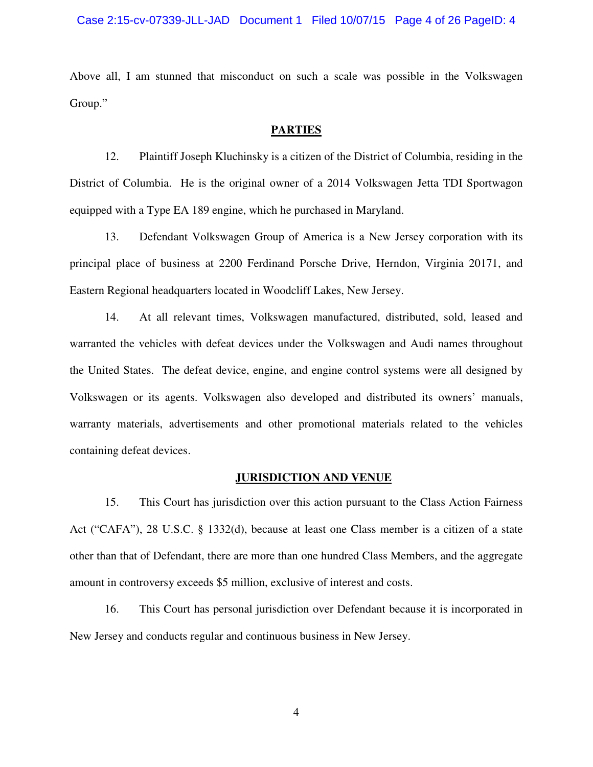#### Case 2:15-cv-07339-JLL-JAD Document 1 Filed 10/07/15 Page 4 of 26 PageID: 4

Above all, I am stunned that misconduct on such a scale was possible in the Volkswagen Group."

## **PARTIES**

12. Plaintiff Joseph Kluchinsky is a citizen of the District of Columbia, residing in the District of Columbia. He is the original owner of a 2014 Volkswagen Jetta TDI Sportwagon equipped with a Type EA 189 engine, which he purchased in Maryland.

13. Defendant Volkswagen Group of America is a New Jersey corporation with its principal place of business at 2200 Ferdinand Porsche Drive, Herndon, Virginia 20171, and Eastern Regional headquarters located in Woodcliff Lakes, New Jersey.

14. At all relevant times, Volkswagen manufactured, distributed, sold, leased and warranted the vehicles with defeat devices under the Volkswagen and Audi names throughout the United States. The defeat device, engine, and engine control systems were all designed by Volkswagen or its agents. Volkswagen also developed and distributed its owners' manuals, warranty materials, advertisements and other promotional materials related to the vehicles containing defeat devices.

#### **JURISDICTION AND VENUE**

15. This Court has jurisdiction over this action pursuant to the Class Action Fairness Act ("CAFA"), 28 U.S.C. § 1332(d), because at least one Class member is a citizen of a state other than that of Defendant, there are more than one hundred Class Members, and the aggregate amount in controversy exceeds \$5 million, exclusive of interest and costs.

16. This Court has personal jurisdiction over Defendant because it is incorporated in New Jersey and conducts regular and continuous business in New Jersey.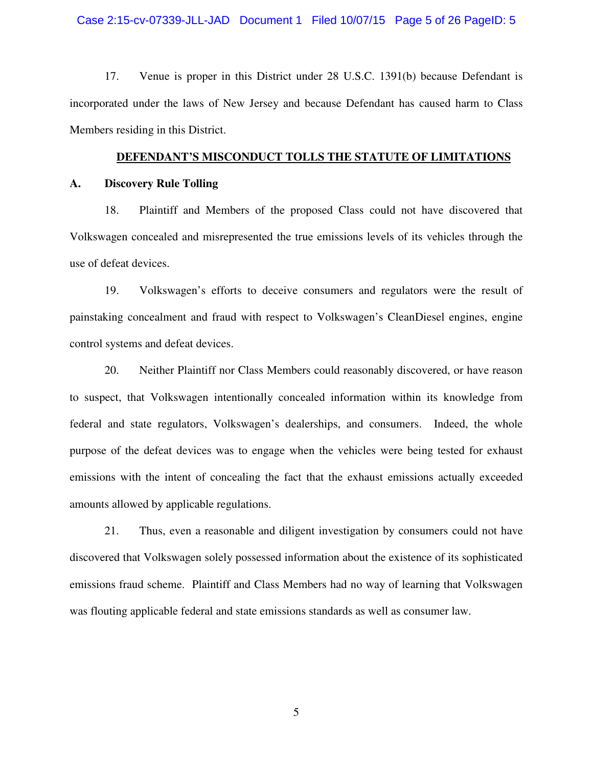#### Case 2:15-cv-07339-JLL-JAD Document 1 Filed 10/07/15 Page 5 of 26 PageID: 5

17. Venue is proper in this District under 28 U.S.C. 1391(b) because Defendant is incorporated under the laws of New Jersey and because Defendant has caused harm to Class Members residing in this District.

#### **DEFENDANT'S MISCONDUCT TOLLS THE STATUTE OF LIMITATIONS**

#### **A. Discovery Rule Tolling**

18. Plaintiff and Members of the proposed Class could not have discovered that Volkswagen concealed and misrepresented the true emissions levels of its vehicles through the use of defeat devices.

19. Volkswagen's efforts to deceive consumers and regulators were the result of painstaking concealment and fraud with respect to Volkswagen's CleanDiesel engines, engine control systems and defeat devices.

20. Neither Plaintiff nor Class Members could reasonably discovered, or have reason to suspect, that Volkswagen intentionally concealed information within its knowledge from federal and state regulators, Volkswagen's dealerships, and consumers. Indeed, the whole purpose of the defeat devices was to engage when the vehicles were being tested for exhaust emissions with the intent of concealing the fact that the exhaust emissions actually exceeded amounts allowed by applicable regulations.

21. Thus, even a reasonable and diligent investigation by consumers could not have discovered that Volkswagen solely possessed information about the existence of its sophisticated emissions fraud scheme. Plaintiff and Class Members had no way of learning that Volkswagen was flouting applicable federal and state emissions standards as well as consumer law.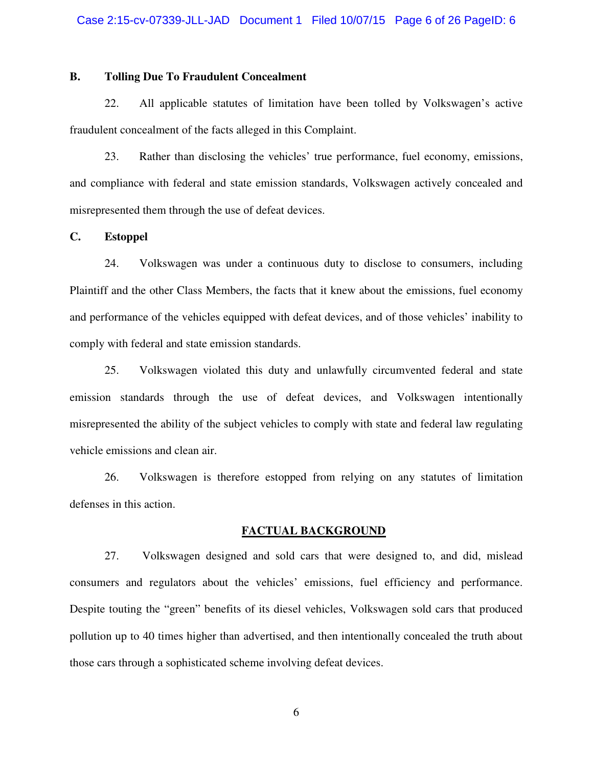## **B. Tolling Due To Fraudulent Concealment**

22. All applicable statutes of limitation have been tolled by Volkswagen's active fraudulent concealment of the facts alleged in this Complaint.

23. Rather than disclosing the vehicles' true performance, fuel economy, emissions, and compliance with federal and state emission standards, Volkswagen actively concealed and misrepresented them through the use of defeat devices.

#### **C. Estoppel**

24. Volkswagen was under a continuous duty to disclose to consumers, including Plaintiff and the other Class Members, the facts that it knew about the emissions, fuel economy and performance of the vehicles equipped with defeat devices, and of those vehicles' inability to comply with federal and state emission standards.

25. Volkswagen violated this duty and unlawfully circumvented federal and state emission standards through the use of defeat devices, and Volkswagen intentionally misrepresented the ability of the subject vehicles to comply with state and federal law regulating vehicle emissions and clean air.

26. Volkswagen is therefore estopped from relying on any statutes of limitation defenses in this action.

#### **FACTUAL BACKGROUND**

27. Volkswagen designed and sold cars that were designed to, and did, mislead consumers and regulators about the vehicles' emissions, fuel efficiency and performance. Despite touting the "green" benefits of its diesel vehicles, Volkswagen sold cars that produced pollution up to 40 times higher than advertised, and then intentionally concealed the truth about those cars through a sophisticated scheme involving defeat devices.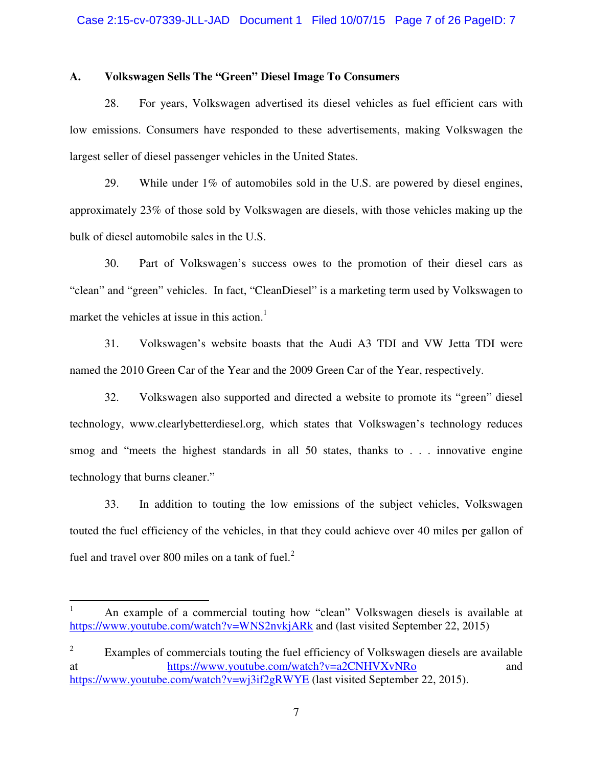#### **A. Volkswagen Sells The "Green" Diesel Image To Consumers**

28. For years, Volkswagen advertised its diesel vehicles as fuel efficient cars with low emissions. Consumers have responded to these advertisements, making Volkswagen the largest seller of diesel passenger vehicles in the United States.

29. While under 1% of automobiles sold in the U.S. are powered by diesel engines, approximately 23% of those sold by Volkswagen are diesels, with those vehicles making up the bulk of diesel automobile sales in the U.S.

30. Part of Volkswagen's success owes to the promotion of their diesel cars as "clean" and "green" vehicles. In fact, "CleanDiesel" is a marketing term used by Volkswagen to market the vehicles at issue in this action.<sup>1</sup>

31. Volkswagen's website boasts that the Audi A3 TDI and VW Jetta TDI were named the 2010 Green Car of the Year and the 2009 Green Car of the Year, respectively.

32. Volkswagen also supported and directed a website to promote its "green" diesel technology, www.clearlybetterdiesel.org, which states that Volkswagen's technology reduces smog and "meets the highest standards in all 50 states, thanks to . . . innovative engine technology that burns cleaner."

33. In addition to touting the low emissions of the subject vehicles, Volkswagen touted the fuel efficiency of the vehicles, in that they could achieve over 40 miles per gallon of fuel and travel over 800 miles on a tank of fuel. $<sup>2</sup>$ </sup>

<u>.</u>

<sup>1</sup> An example of a commercial touting how "clean" Volkswagen diesels is available at https://www.youtube.com/watch?v=WNS2nvkjARk and (last visited September 22, 2015)

<sup>2</sup> Examples of commercials touting the fuel efficiency of Volkswagen diesels are available at https://www.youtube.com/watch?v=a2CNHVXvNRo and https://www.youtube.com/watch?v=wj3if2gRWYE (last visited September 22, 2015).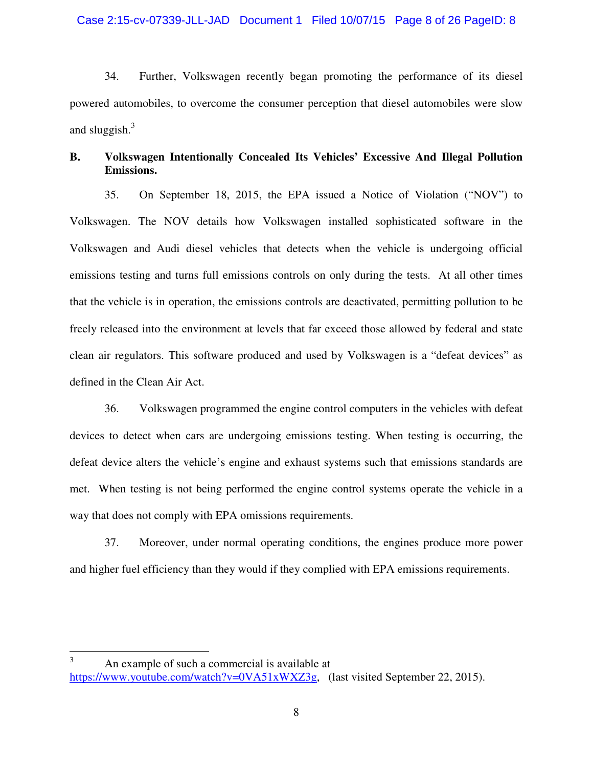34. Further, Volkswagen recently began promoting the performance of its diesel powered automobiles, to overcome the consumer perception that diesel automobiles were slow and sluggish. $3$ 

# **B. Volkswagen Intentionally Concealed Its Vehicles' Excessive And Illegal Pollution Emissions.**

35. On September 18, 2015, the EPA issued a Notice of Violation ("NOV") to Volkswagen. The NOV details how Volkswagen installed sophisticated software in the Volkswagen and Audi diesel vehicles that detects when the vehicle is undergoing official emissions testing and turns full emissions controls on only during the tests. At all other times that the vehicle is in operation, the emissions controls are deactivated, permitting pollution to be freely released into the environment at levels that far exceed those allowed by federal and state clean air regulators. This software produced and used by Volkswagen is a "defeat devices" as defined in the Clean Air Act.

36. Volkswagen programmed the engine control computers in the vehicles with defeat devices to detect when cars are undergoing emissions testing. When testing is occurring, the defeat device alters the vehicle's engine and exhaust systems such that emissions standards are met. When testing is not being performed the engine control systems operate the vehicle in a way that does not comply with EPA omissions requirements.

37. Moreover, under normal operating conditions, the engines produce more power and higher fuel efficiency than they would if they complied with EPA emissions requirements.

 $\frac{1}{3}$  An example of such a commercial is available at https://www.youtube.com/watch?v=0VA51xWXZ3g, (last visited September 22, 2015).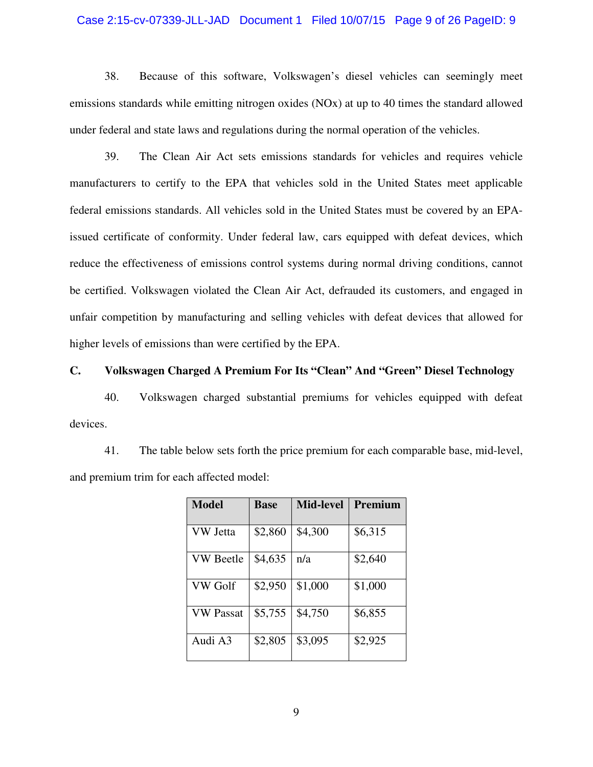#### Case 2:15-cv-07339-JLL-JAD Document 1 Filed 10/07/15 Page 9 of 26 PageID: 9

38. Because of this software, Volkswagen's diesel vehicles can seemingly meet emissions standards while emitting nitrogen oxides (NOx) at up to 40 times the standard allowed under federal and state laws and regulations during the normal operation of the vehicles.

39. The Clean Air Act sets emissions standards for vehicles and requires vehicle manufacturers to certify to the EPA that vehicles sold in the United States meet applicable federal emissions standards. All vehicles sold in the United States must be covered by an EPAissued certificate of conformity. Under federal law, cars equipped with defeat devices, which reduce the effectiveness of emissions control systems during normal driving conditions, cannot be certified. Volkswagen violated the Clean Air Act, defrauded its customers, and engaged in unfair competition by manufacturing and selling vehicles with defeat devices that allowed for higher levels of emissions than were certified by the EPA.

# **C. Volkswagen Charged A Premium For Its "Clean" And "Green" Diesel Technology**

40. Volkswagen charged substantial premiums for vehicles equipped with defeat devices.

41. The table below sets forth the price premium for each comparable base, mid-level, and premium trim for each affected model:

| <b>Model</b>     | <b>Base</b> | <b>Mid-level</b> | <b>Premium</b> |
|------------------|-------------|------------------|----------------|
| VW Jetta         | \$2,860     | \$4,300          | \$6,315        |
| <b>VW</b> Beetle | \$4,635     | n/a              | \$2,640        |
| <b>VW Golf</b>   | \$2,950     | \$1,000          | \$1,000        |
| <b>VW Passat</b> | \$5,755     | \$4,750          | \$6,855        |
| Audi A3          | \$2,805     | \$3,095          | \$2,925        |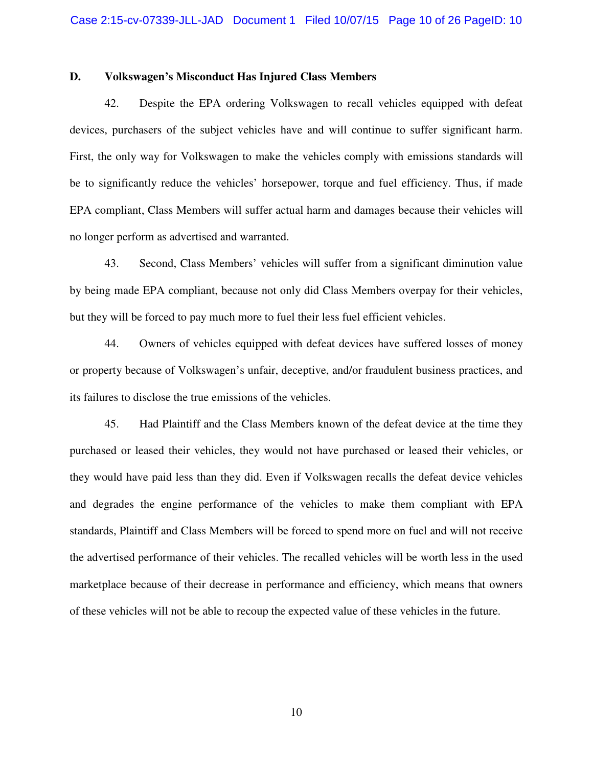#### **D. Volkswagen's Misconduct Has Injured Class Members**

42. Despite the EPA ordering Volkswagen to recall vehicles equipped with defeat devices, purchasers of the subject vehicles have and will continue to suffer significant harm. First, the only way for Volkswagen to make the vehicles comply with emissions standards will be to significantly reduce the vehicles' horsepower, torque and fuel efficiency. Thus, if made EPA compliant, Class Members will suffer actual harm and damages because their vehicles will no longer perform as advertised and warranted.

43. Second, Class Members' vehicles will suffer from a significant diminution value by being made EPA compliant, because not only did Class Members overpay for their vehicles, but they will be forced to pay much more to fuel their less fuel efficient vehicles.

44. Owners of vehicles equipped with defeat devices have suffered losses of money or property because of Volkswagen's unfair, deceptive, and/or fraudulent business practices, and its failures to disclose the true emissions of the vehicles.

45. Had Plaintiff and the Class Members known of the defeat device at the time they purchased or leased their vehicles, they would not have purchased or leased their vehicles, or they would have paid less than they did. Even if Volkswagen recalls the defeat device vehicles and degrades the engine performance of the vehicles to make them compliant with EPA standards, Plaintiff and Class Members will be forced to spend more on fuel and will not receive the advertised performance of their vehicles. The recalled vehicles will be worth less in the used marketplace because of their decrease in performance and efficiency, which means that owners of these vehicles will not be able to recoup the expected value of these vehicles in the future.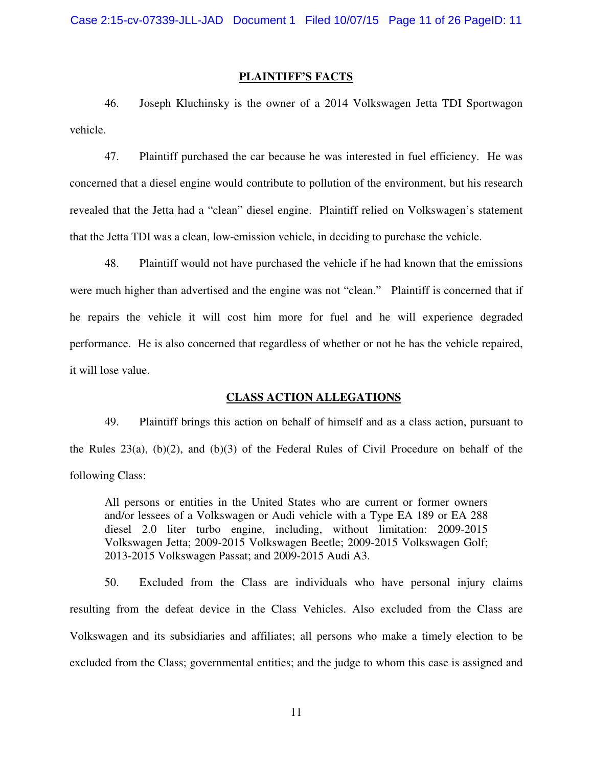#### **PLAINTIFF'S FACTS**

46. Joseph Kluchinsky is the owner of a 2014 Volkswagen Jetta TDI Sportwagon vehicle.

47. Plaintiff purchased the car because he was interested in fuel efficiency. He was concerned that a diesel engine would contribute to pollution of the environment, but his research revealed that the Jetta had a "clean" diesel engine. Plaintiff relied on Volkswagen's statement that the Jetta TDI was a clean, low-emission vehicle, in deciding to purchase the vehicle.

48. Plaintiff would not have purchased the vehicle if he had known that the emissions were much higher than advertised and the engine was not "clean." Plaintiff is concerned that if he repairs the vehicle it will cost him more for fuel and he will experience degraded performance. He is also concerned that regardless of whether or not he has the vehicle repaired, it will lose value.

#### **CLASS ACTION ALLEGATIONS**

49. Plaintiff brings this action on behalf of himself and as a class action, pursuant to the Rules 23(a), (b)(2), and (b)(3) of the Federal Rules of Civil Procedure on behalf of the following Class:

All persons or entities in the United States who are current or former owners and/or lessees of a Volkswagen or Audi vehicle with a Type EA 189 or EA 288 diesel 2.0 liter turbo engine, including, without limitation: 2009-2015 Volkswagen Jetta; 2009-2015 Volkswagen Beetle; 2009-2015 Volkswagen Golf; 2013-2015 Volkswagen Passat; and 2009-2015 Audi A3.

50. Excluded from the Class are individuals who have personal injury claims resulting from the defeat device in the Class Vehicles. Also excluded from the Class are Volkswagen and its subsidiaries and affiliates; all persons who make a timely election to be excluded from the Class; governmental entities; and the judge to whom this case is assigned and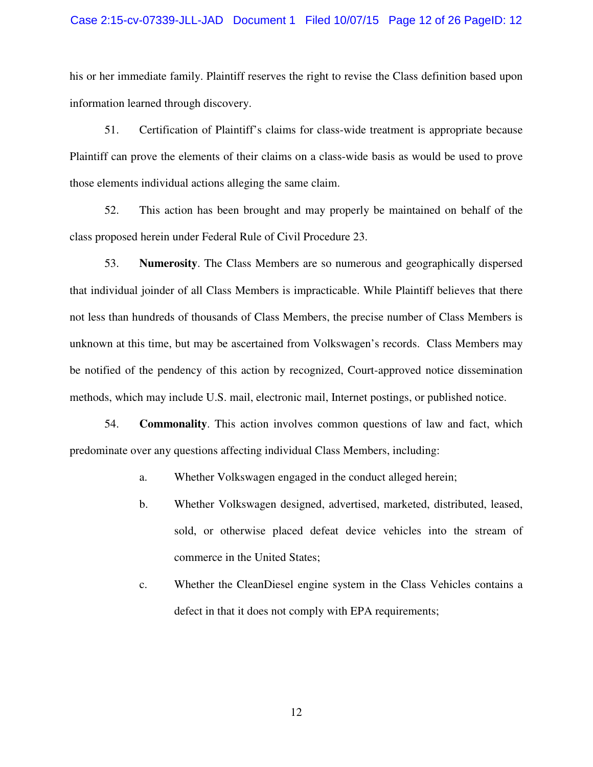#### Case 2:15-cv-07339-JLL-JAD Document 1 Filed 10/07/15 Page 12 of 26 PageID: 12

his or her immediate family. Plaintiff reserves the right to revise the Class definition based upon information learned through discovery.

51. Certification of Plaintiff's claims for class-wide treatment is appropriate because Plaintiff can prove the elements of their claims on a class-wide basis as would be used to prove those elements individual actions alleging the same claim.

52. This action has been brought and may properly be maintained on behalf of the class proposed herein under Federal Rule of Civil Procedure 23.

53. **Numerosity**. The Class Members are so numerous and geographically dispersed that individual joinder of all Class Members is impracticable. While Plaintiff believes that there not less than hundreds of thousands of Class Members, the precise number of Class Members is unknown at this time, but may be ascertained from Volkswagen's records. Class Members may be notified of the pendency of this action by recognized, Court-approved notice dissemination methods, which may include U.S. mail, electronic mail, Internet postings, or published notice.

54. **Commonality**. This action involves common questions of law and fact, which predominate over any questions affecting individual Class Members, including:

a. Whether Volkswagen engaged in the conduct alleged herein;

- b. Whether Volkswagen designed, advertised, marketed, distributed, leased, sold, or otherwise placed defeat device vehicles into the stream of commerce in the United States;
- c. Whether the CleanDiesel engine system in the Class Vehicles contains a defect in that it does not comply with EPA requirements;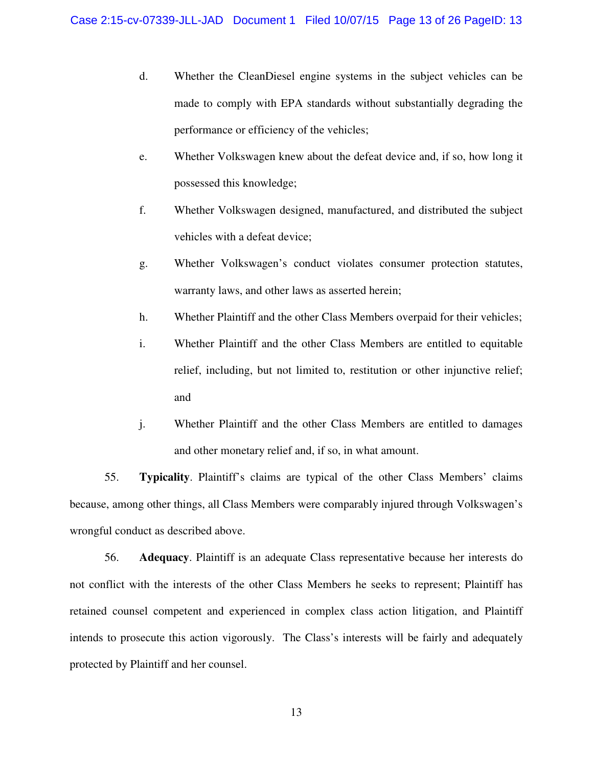- d. Whether the CleanDiesel engine systems in the subject vehicles can be made to comply with EPA standards without substantially degrading the performance or efficiency of the vehicles;
- e. Whether Volkswagen knew about the defeat device and, if so, how long it possessed this knowledge;
- f. Whether Volkswagen designed, manufactured, and distributed the subject vehicles with a defeat device;
- g. Whether Volkswagen's conduct violates consumer protection statutes, warranty laws, and other laws as asserted herein;
- h. Whether Plaintiff and the other Class Members overpaid for their vehicles;
- i. Whether Plaintiff and the other Class Members are entitled to equitable relief, including, but not limited to, restitution or other injunctive relief; and
- j. Whether Plaintiff and the other Class Members are entitled to damages and other monetary relief and, if so, in what amount.

55. **Typicality**. Plaintiff's claims are typical of the other Class Members' claims because, among other things, all Class Members were comparably injured through Volkswagen's wrongful conduct as described above.

56. **Adequacy**. Plaintiff is an adequate Class representative because her interests do not conflict with the interests of the other Class Members he seeks to represent; Plaintiff has retained counsel competent and experienced in complex class action litigation, and Plaintiff intends to prosecute this action vigorously. The Class's interests will be fairly and adequately protected by Plaintiff and her counsel.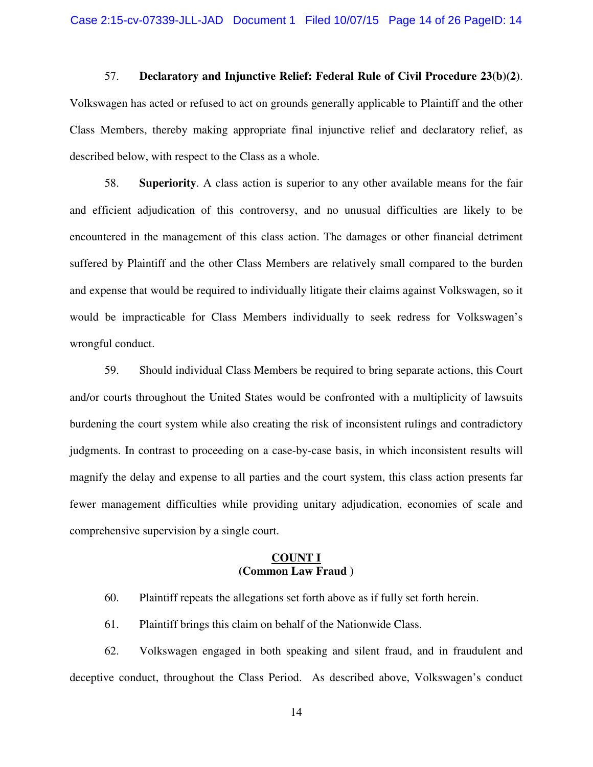57. **Declaratory and Injunctive Relief: Federal Rule of Civil Procedure 23(b)(2)**. Volkswagen has acted or refused to act on grounds generally applicable to Plaintiff and the other Class Members, thereby making appropriate final injunctive relief and declaratory relief, as described below, with respect to the Class as a whole.

58. **Superiority**. A class action is superior to any other available means for the fair and efficient adjudication of this controversy, and no unusual difficulties are likely to be encountered in the management of this class action. The damages or other financial detriment suffered by Plaintiff and the other Class Members are relatively small compared to the burden and expense that would be required to individually litigate their claims against Volkswagen, so it would be impracticable for Class Members individually to seek redress for Volkswagen's wrongful conduct.

59. Should individual Class Members be required to bring separate actions, this Court and/or courts throughout the United States would be confronted with a multiplicity of lawsuits burdening the court system while also creating the risk of inconsistent rulings and contradictory judgments. In contrast to proceeding on a case-by-case basis, in which inconsistent results will magnify the delay and expense to all parties and the court system, this class action presents far fewer management difficulties while providing unitary adjudication, economies of scale and comprehensive supervision by a single court.

### **COUNT I (Common Law Fraud )**

60. Plaintiff repeats the allegations set forth above as if fully set forth herein.

61. Plaintiff brings this claim on behalf of the Nationwide Class.

62. Volkswagen engaged in both speaking and silent fraud, and in fraudulent and deceptive conduct, throughout the Class Period. As described above, Volkswagen's conduct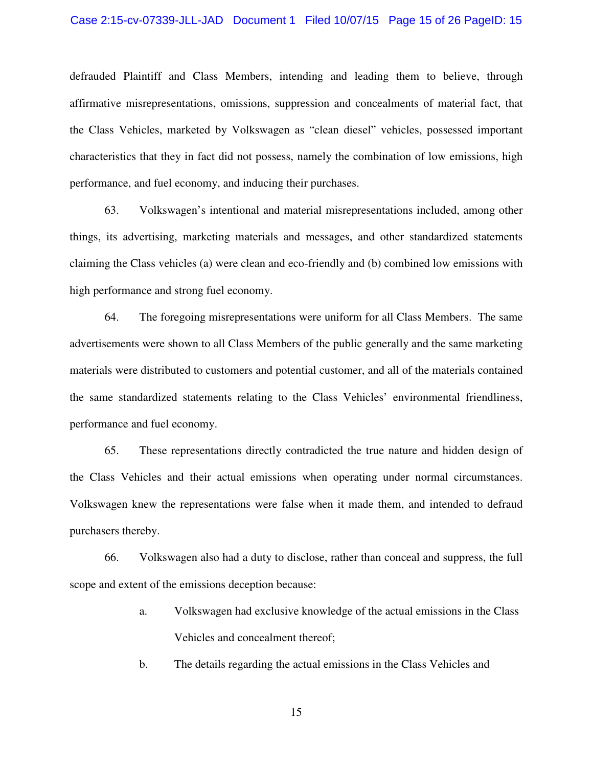#### Case 2:15-cv-07339-JLL-JAD Document 1 Filed 10/07/15 Page 15 of 26 PageID: 15

defrauded Plaintiff and Class Members, intending and leading them to believe, through affirmative misrepresentations, omissions, suppression and concealments of material fact, that the Class Vehicles, marketed by Volkswagen as "clean diesel" vehicles, possessed important characteristics that they in fact did not possess, namely the combination of low emissions, high performance, and fuel economy, and inducing their purchases.

63. Volkswagen's intentional and material misrepresentations included, among other things, its advertising, marketing materials and messages, and other standardized statements claiming the Class vehicles (a) were clean and eco-friendly and (b) combined low emissions with high performance and strong fuel economy.

64. The foregoing misrepresentations were uniform for all Class Members. The same advertisements were shown to all Class Members of the public generally and the same marketing materials were distributed to customers and potential customer, and all of the materials contained the same standardized statements relating to the Class Vehicles' environmental friendliness, performance and fuel economy.

65. These representations directly contradicted the true nature and hidden design of the Class Vehicles and their actual emissions when operating under normal circumstances. Volkswagen knew the representations were false when it made them, and intended to defraud purchasers thereby.

66. Volkswagen also had a duty to disclose, rather than conceal and suppress, the full scope and extent of the emissions deception because:

> a. Volkswagen had exclusive knowledge of the actual emissions in the Class Vehicles and concealment thereof;

b. The details regarding the actual emissions in the Class Vehicles and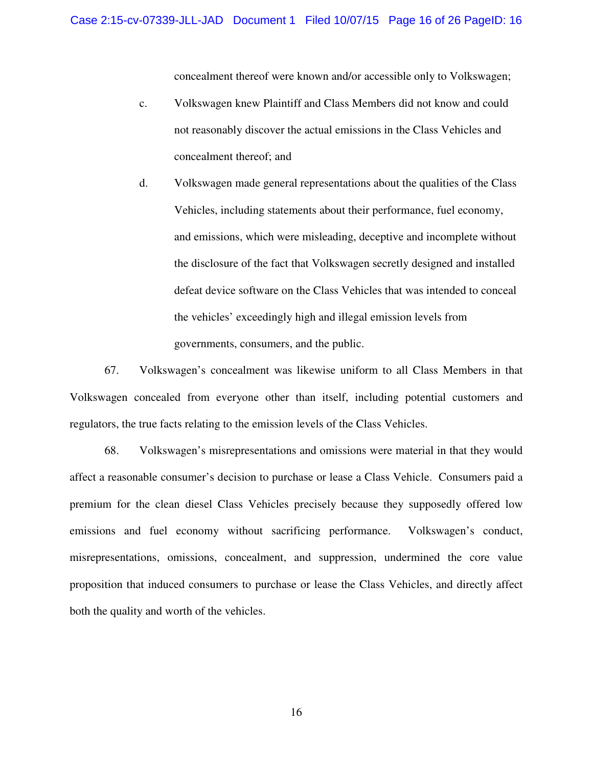concealment thereof were known and/or accessible only to Volkswagen;

- c. Volkswagen knew Plaintiff and Class Members did not know and could not reasonably discover the actual emissions in the Class Vehicles and concealment thereof; and
- d. Volkswagen made general representations about the qualities of the Class Vehicles, including statements about their performance, fuel economy, and emissions, which were misleading, deceptive and incomplete without the disclosure of the fact that Volkswagen secretly designed and installed defeat device software on the Class Vehicles that was intended to conceal the vehicles' exceedingly high and illegal emission levels from governments, consumers, and the public.

67. Volkswagen's concealment was likewise uniform to all Class Members in that Volkswagen concealed from everyone other than itself, including potential customers and regulators, the true facts relating to the emission levels of the Class Vehicles.

68. Volkswagen's misrepresentations and omissions were material in that they would affect a reasonable consumer's decision to purchase or lease a Class Vehicle. Consumers paid a premium for the clean diesel Class Vehicles precisely because they supposedly offered low emissions and fuel economy without sacrificing performance. Volkswagen's conduct, misrepresentations, omissions, concealment, and suppression, undermined the core value proposition that induced consumers to purchase or lease the Class Vehicles, and directly affect both the quality and worth of the vehicles.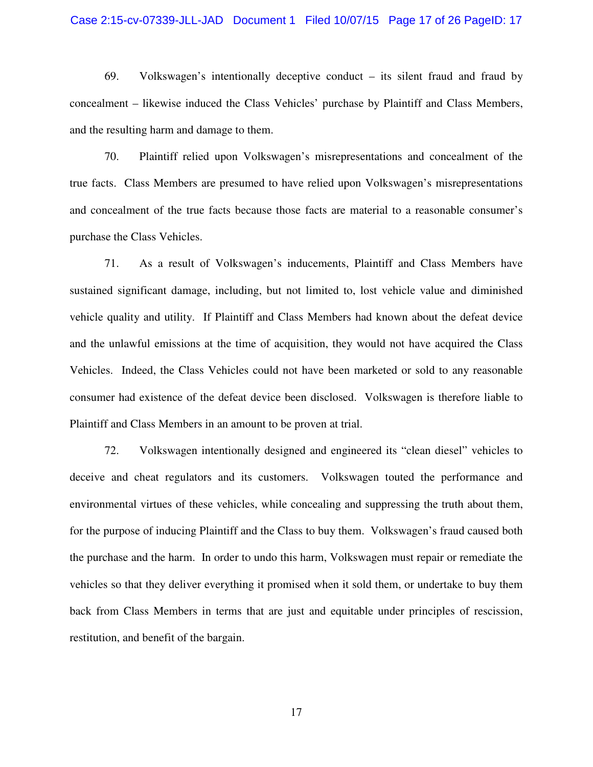#### Case 2:15-cv-07339-JLL-JAD Document 1 Filed 10/07/15 Page 17 of 26 PageID: 17

69. Volkswagen's intentionally deceptive conduct – its silent fraud and fraud by concealment – likewise induced the Class Vehicles' purchase by Plaintiff and Class Members, and the resulting harm and damage to them.

70. Plaintiff relied upon Volkswagen's misrepresentations and concealment of the true facts. Class Members are presumed to have relied upon Volkswagen's misrepresentations and concealment of the true facts because those facts are material to a reasonable consumer's purchase the Class Vehicles.

71. As a result of Volkswagen's inducements, Plaintiff and Class Members have sustained significant damage, including, but not limited to, lost vehicle value and diminished vehicle quality and utility. If Plaintiff and Class Members had known about the defeat device and the unlawful emissions at the time of acquisition, they would not have acquired the Class Vehicles. Indeed, the Class Vehicles could not have been marketed or sold to any reasonable consumer had existence of the defeat device been disclosed. Volkswagen is therefore liable to Plaintiff and Class Members in an amount to be proven at trial.

72. Volkswagen intentionally designed and engineered its "clean diesel" vehicles to deceive and cheat regulators and its customers. Volkswagen touted the performance and environmental virtues of these vehicles, while concealing and suppressing the truth about them, for the purpose of inducing Plaintiff and the Class to buy them. Volkswagen's fraud caused both the purchase and the harm. In order to undo this harm, Volkswagen must repair or remediate the vehicles so that they deliver everything it promised when it sold them, or undertake to buy them back from Class Members in terms that are just and equitable under principles of rescission, restitution, and benefit of the bargain.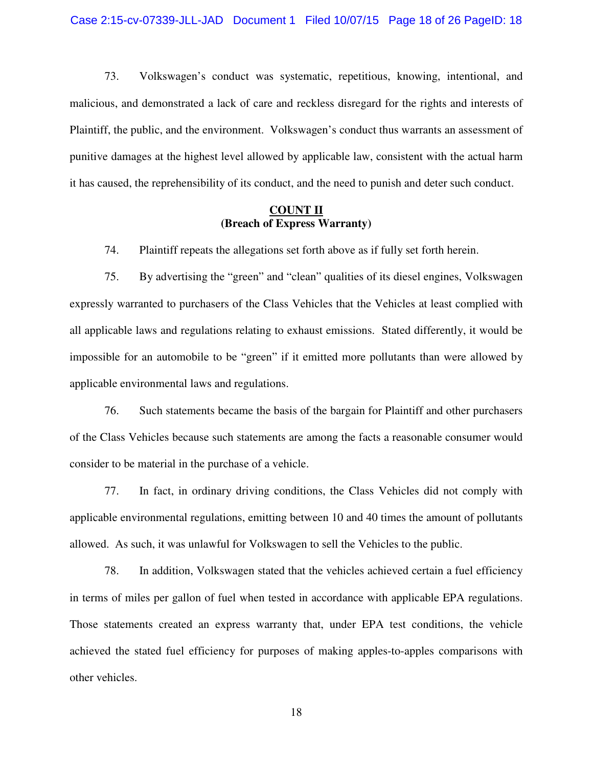73. Volkswagen's conduct was systematic, repetitious, knowing, intentional, and malicious, and demonstrated a lack of care and reckless disregard for the rights and interests of Plaintiff, the public, and the environment. Volkswagen's conduct thus warrants an assessment of punitive damages at the highest level allowed by applicable law, consistent with the actual harm it has caused, the reprehensibility of its conduct, and the need to punish and deter such conduct.

### **COUNT II (Breach of Express Warranty)**

74. Plaintiff repeats the allegations set forth above as if fully set forth herein.

75. By advertising the "green" and "clean" qualities of its diesel engines, Volkswagen expressly warranted to purchasers of the Class Vehicles that the Vehicles at least complied with all applicable laws and regulations relating to exhaust emissions. Stated differently, it would be impossible for an automobile to be "green" if it emitted more pollutants than were allowed by applicable environmental laws and regulations.

76. Such statements became the basis of the bargain for Plaintiff and other purchasers of the Class Vehicles because such statements are among the facts a reasonable consumer would consider to be material in the purchase of a vehicle.

77. In fact, in ordinary driving conditions, the Class Vehicles did not comply with applicable environmental regulations, emitting between 10 and 40 times the amount of pollutants allowed. As such, it was unlawful for Volkswagen to sell the Vehicles to the public.

78. In addition, Volkswagen stated that the vehicles achieved certain a fuel efficiency in terms of miles per gallon of fuel when tested in accordance with applicable EPA regulations. Those statements created an express warranty that, under EPA test conditions, the vehicle achieved the stated fuel efficiency for purposes of making apples-to-apples comparisons with other vehicles.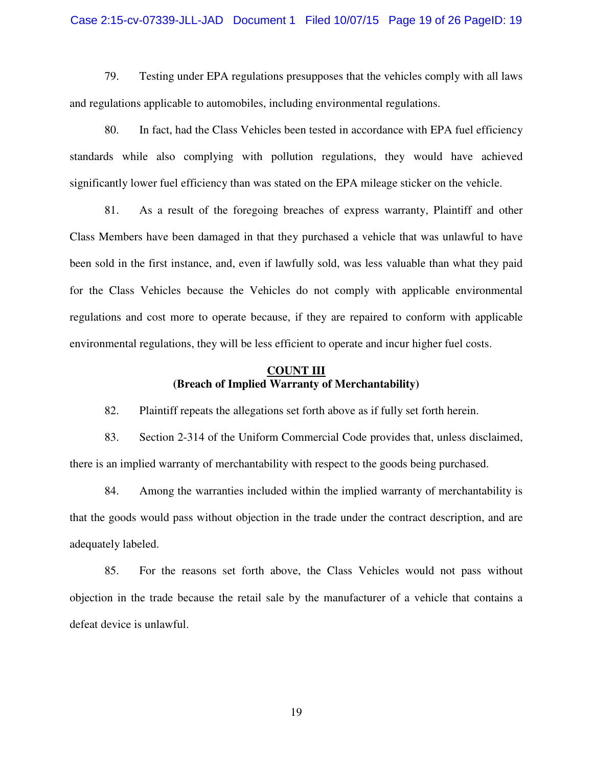#### Case 2:15-cv-07339-JLL-JAD Document 1 Filed 10/07/15 Page 19 of 26 PageID: 19

79. Testing under EPA regulations presupposes that the vehicles comply with all laws and regulations applicable to automobiles, including environmental regulations.

80. In fact, had the Class Vehicles been tested in accordance with EPA fuel efficiency standards while also complying with pollution regulations, they would have achieved significantly lower fuel efficiency than was stated on the EPA mileage sticker on the vehicle.

81. As a result of the foregoing breaches of express warranty, Plaintiff and other Class Members have been damaged in that they purchased a vehicle that was unlawful to have been sold in the first instance, and, even if lawfully sold, was less valuable than what they paid for the Class Vehicles because the Vehicles do not comply with applicable environmental regulations and cost more to operate because, if they are repaired to conform with applicable environmental regulations, they will be less efficient to operate and incur higher fuel costs.

### **COUNT III (Breach of Implied Warranty of Merchantability)**

82. Plaintiff repeats the allegations set forth above as if fully set forth herein.

83. Section 2-314 of the Uniform Commercial Code provides that, unless disclaimed, there is an implied warranty of merchantability with respect to the goods being purchased.

84. Among the warranties included within the implied warranty of merchantability is that the goods would pass without objection in the trade under the contract description, and are adequately labeled.

85. For the reasons set forth above, the Class Vehicles would not pass without objection in the trade because the retail sale by the manufacturer of a vehicle that contains a defeat device is unlawful.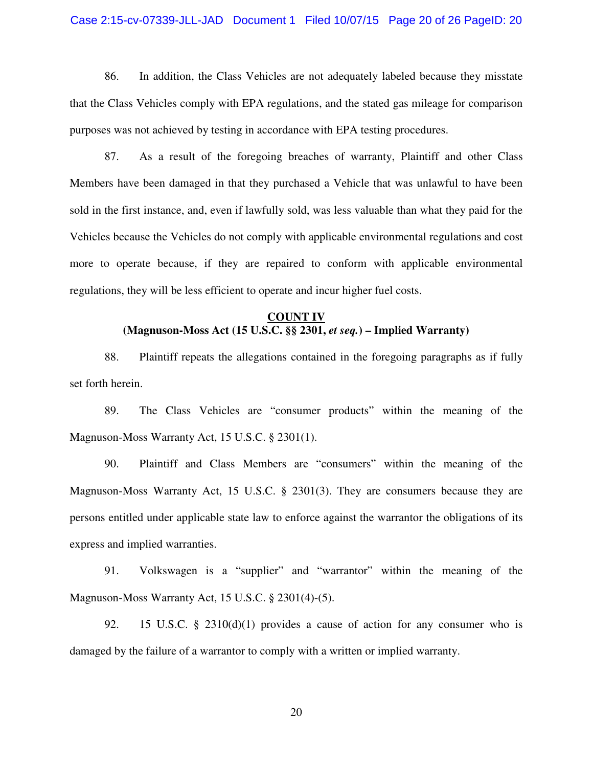#### Case 2:15-cv-07339-JLL-JAD Document 1 Filed 10/07/15 Page 20 of 26 PageID: 20

86. In addition, the Class Vehicles are not adequately labeled because they misstate that the Class Vehicles comply with EPA regulations, and the stated gas mileage for comparison purposes was not achieved by testing in accordance with EPA testing procedures.

87. As a result of the foregoing breaches of warranty, Plaintiff and other Class Members have been damaged in that they purchased a Vehicle that was unlawful to have been sold in the first instance, and, even if lawfully sold, was less valuable than what they paid for the Vehicles because the Vehicles do not comply with applicable environmental regulations and cost more to operate because, if they are repaired to conform with applicable environmental regulations, they will be less efficient to operate and incur higher fuel costs.

## **COUNT IV (Magnuson-Moss Act (15 U.S.C. §§ 2301,** *et seq.***) – Implied Warranty)**

88. Plaintiff repeats the allegations contained in the foregoing paragraphs as if fully set forth herein.

89. The Class Vehicles are "consumer products" within the meaning of the Magnuson-Moss Warranty Act, 15 U.S.C. § 2301(1).

90. Plaintiff and Class Members are "consumers" within the meaning of the Magnuson-Moss Warranty Act, 15 U.S.C. § 2301(3). They are consumers because they are persons entitled under applicable state law to enforce against the warrantor the obligations of its express and implied warranties.

91. Volkswagen is a "supplier" and "warrantor" within the meaning of the Magnuson-Moss Warranty Act, 15 U.S.C. § 2301(4)-(5).

92. 15 U.S.C. § 2310(d)(1) provides a cause of action for any consumer who is damaged by the failure of a warrantor to comply with a written or implied warranty.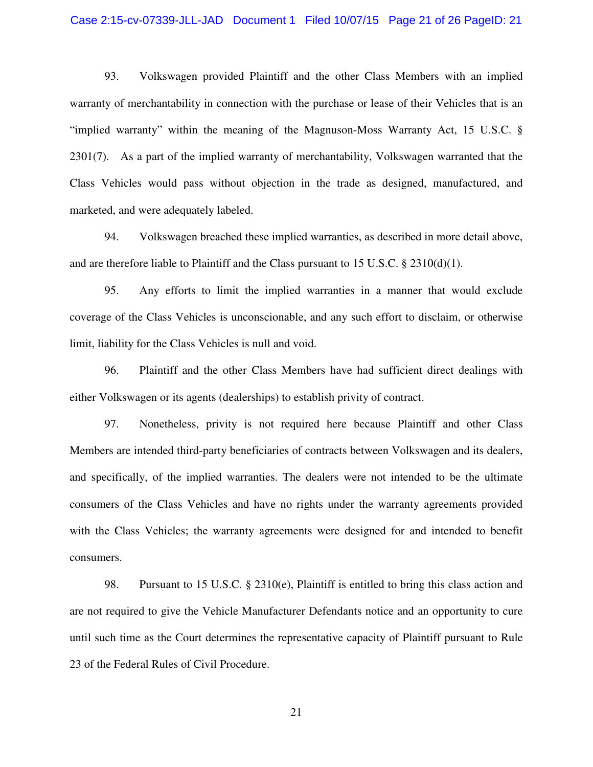#### Case 2:15-cv-07339-JLL-JAD Document 1 Filed 10/07/15 Page 21 of 26 PageID: 21

93. Volkswagen provided Plaintiff and the other Class Members with an implied warranty of merchantability in connection with the purchase or lease of their Vehicles that is an "implied warranty" within the meaning of the Magnuson-Moss Warranty Act, 15 U.S.C. § 2301(7). As a part of the implied warranty of merchantability, Volkswagen warranted that the Class Vehicles would pass without objection in the trade as designed, manufactured, and marketed, and were adequately labeled.

94. Volkswagen breached these implied warranties, as described in more detail above, and are therefore liable to Plaintiff and the Class pursuant to 15 U.S.C.  $\S$  2310(d)(1).

95. Any efforts to limit the implied warranties in a manner that would exclude coverage of the Class Vehicles is unconscionable, and any such effort to disclaim, or otherwise limit, liability for the Class Vehicles is null and void.

96. Plaintiff and the other Class Members have had sufficient direct dealings with either Volkswagen or its agents (dealerships) to establish privity of contract.

97. Nonetheless, privity is not required here because Plaintiff and other Class Members are intended third-party beneficiaries of contracts between Volkswagen and its dealers, and specifically, of the implied warranties. The dealers were not intended to be the ultimate consumers of the Class Vehicles and have no rights under the warranty agreements provided with the Class Vehicles; the warranty agreements were designed for and intended to benefit consumers.

98. Pursuant to 15 U.S.C. § 2310(e), Plaintiff is entitled to bring this class action and are not required to give the Vehicle Manufacturer Defendants notice and an opportunity to cure until such time as the Court determines the representative capacity of Plaintiff pursuant to Rule 23 of the Federal Rules of Civil Procedure.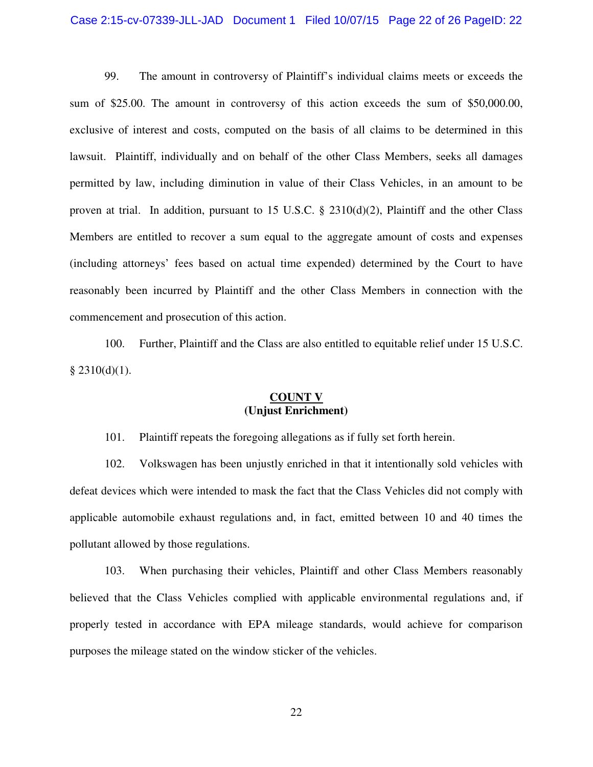#### Case 2:15-cv-07339-JLL-JAD Document 1 Filed 10/07/15 Page 22 of 26 PageID: 22

99. The amount in controversy of Plaintiff's individual claims meets or exceeds the sum of \$25.00. The amount in controversy of this action exceeds the sum of \$50,000.00, exclusive of interest and costs, computed on the basis of all claims to be determined in this lawsuit. Plaintiff, individually and on behalf of the other Class Members, seeks all damages permitted by law, including diminution in value of their Class Vehicles, in an amount to be proven at trial. In addition, pursuant to 15 U.S.C. § 2310(d)(2), Plaintiff and the other Class Members are entitled to recover a sum equal to the aggregate amount of costs and expenses (including attorneys' fees based on actual time expended) determined by the Court to have reasonably been incurred by Plaintiff and the other Class Members in connection with the commencement and prosecution of this action.

100. Further, Plaintiff and the Class are also entitled to equitable relief under 15 U.S.C.  $§$  2310(d)(1).

## **COUNT V (Unjust Enrichment)**

101. Plaintiff repeats the foregoing allegations as if fully set forth herein.

102. Volkswagen has been unjustly enriched in that it intentionally sold vehicles with defeat devices which were intended to mask the fact that the Class Vehicles did not comply with applicable automobile exhaust regulations and, in fact, emitted between 10 and 40 times the pollutant allowed by those regulations.

103. When purchasing their vehicles, Plaintiff and other Class Members reasonably believed that the Class Vehicles complied with applicable environmental regulations and, if properly tested in accordance with EPA mileage standards, would achieve for comparison purposes the mileage stated on the window sticker of the vehicles.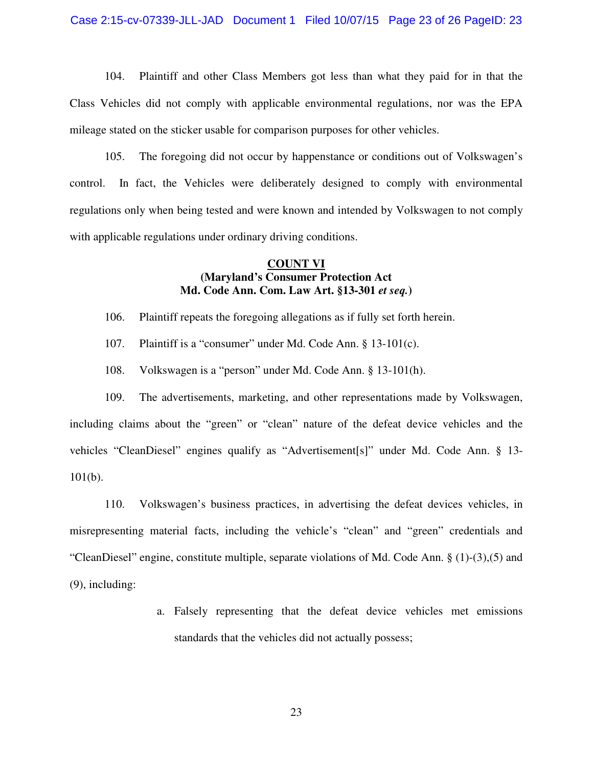#### Case 2:15-cv-07339-JLL-JAD Document 1 Filed 10/07/15 Page 23 of 26 PageID: 23

104. Plaintiff and other Class Members got less than what they paid for in that the Class Vehicles did not comply with applicable environmental regulations, nor was the EPA mileage stated on the sticker usable for comparison purposes for other vehicles.

105. The foregoing did not occur by happenstance or conditions out of Volkswagen's control. In fact, the Vehicles were deliberately designed to comply with environmental regulations only when being tested and were known and intended by Volkswagen to not comply with applicable regulations under ordinary driving conditions.

## **COUNT VI (Maryland's Consumer Protection Act Md. Code Ann. Com. Law Art. §13-301** *et seq.***)**

106. Plaintiff repeats the foregoing allegations as if fully set forth herein.

- 107. Plaintiff is a "consumer" under Md. Code Ann. § 13-101(c).
- 108. Volkswagen is a "person" under Md. Code Ann. § 13-101(h).

109. The advertisements, marketing, and other representations made by Volkswagen, including claims about the "green" or "clean" nature of the defeat device vehicles and the vehicles "CleanDiesel" engines qualify as "Advertisement[s]" under Md. Code Ann. § 13-  $101(b)$ .

110. Volkswagen's business practices, in advertising the defeat devices vehicles, in misrepresenting material facts, including the vehicle's "clean" and "green" credentials and "CleanDiesel" engine, constitute multiple, separate violations of Md. Code Ann. § (1)-(3),(5) and (9), including:

> a. Falsely representing that the defeat device vehicles met emissions standards that the vehicles did not actually possess;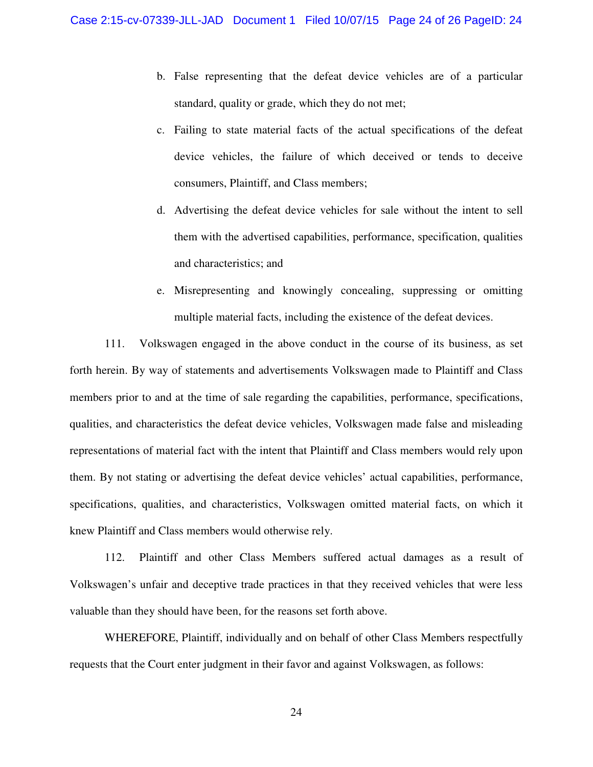- b. False representing that the defeat device vehicles are of a particular standard, quality or grade, which they do not met;
- c. Failing to state material facts of the actual specifications of the defeat device vehicles, the failure of which deceived or tends to deceive consumers, Plaintiff, and Class members;
- d. Advertising the defeat device vehicles for sale without the intent to sell them with the advertised capabilities, performance, specification, qualities and characteristics; and
- e. Misrepresenting and knowingly concealing, suppressing or omitting multiple material facts, including the existence of the defeat devices.

111. Volkswagen engaged in the above conduct in the course of its business, as set forth herein. By way of statements and advertisements Volkswagen made to Plaintiff and Class members prior to and at the time of sale regarding the capabilities, performance, specifications, qualities, and characteristics the defeat device vehicles, Volkswagen made false and misleading representations of material fact with the intent that Plaintiff and Class members would rely upon them. By not stating or advertising the defeat device vehicles' actual capabilities, performance, specifications, qualities, and characteristics, Volkswagen omitted material facts, on which it knew Plaintiff and Class members would otherwise rely.

112. Plaintiff and other Class Members suffered actual damages as a result of Volkswagen's unfair and deceptive trade practices in that they received vehicles that were less valuable than they should have been, for the reasons set forth above.

WHEREFORE, Plaintiff, individually and on behalf of other Class Members respectfully requests that the Court enter judgment in their favor and against Volkswagen, as follows: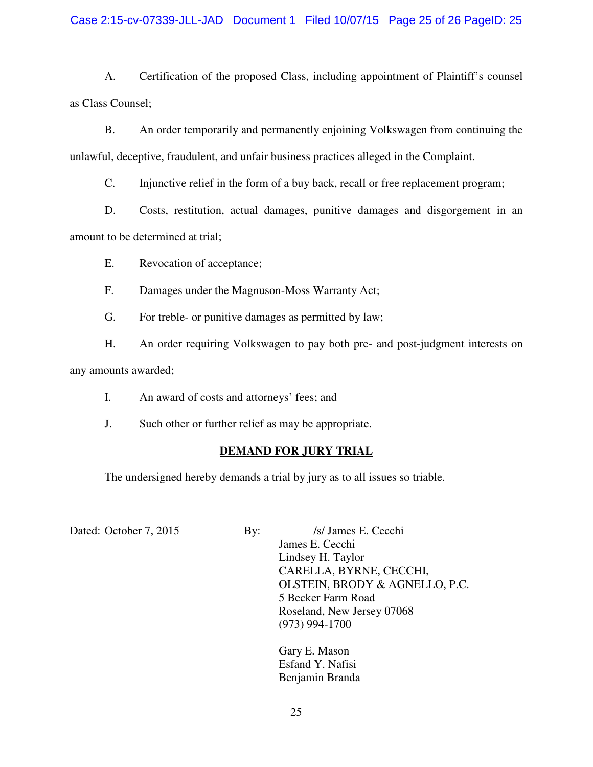## Case 2:15-cv-07339-JLL-JAD Document 1 Filed 10/07/15 Page 25 of 26 PageID: 25

A. Certification of the proposed Class, including appointment of Plaintiff's counsel as Class Counsel;

B. An order temporarily and permanently enjoining Volkswagen from continuing the unlawful, deceptive, fraudulent, and unfair business practices alleged in the Complaint.

C. Injunctive relief in the form of a buy back, recall or free replacement program;

D. Costs, restitution, actual damages, punitive damages and disgorgement in an amount to be determined at trial;

E. Revocation of acceptance;

F. Damages under the Magnuson-Moss Warranty Act;

G. For treble- or punitive damages as permitted by law;

H. An order requiring Volkswagen to pay both pre- and post-judgment interests on

any amounts awarded;

I. An award of costs and attorneys' fees; and

J. Such other or further relief as may be appropriate.

# **DEMAND FOR JURY TRIAL**

The undersigned hereby demands a trial by jury as to all issues so triable.

Dated: October 7, 2015 By: *Isl James E. Cecchi* 

James E. Cecchi Lindsey H. Taylor CARELLA, BYRNE, CECCHI, OLSTEIN, BRODY & AGNELLO, P.C. 5 Becker Farm Road Roseland, New Jersey 07068 (973) 994-1700

Gary E. Mason Esfand Y. Nafisi Benjamin Branda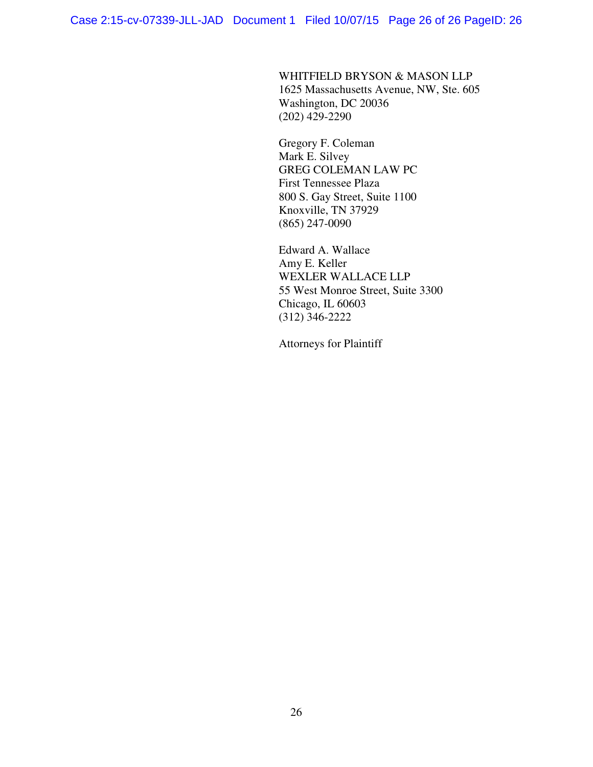(202) 429-2290

WHITFIELD BRYSON & MASON LLP 1625 Massachusetts Avenue, NW, Ste. 605 Washington, DC 20036

Gregory F. Coleman Mark E. Silvey GREG COLEMAN LAW PC First Tennessee Plaza 800 S. Gay Street, Suite 1100 Knoxville, TN 37929 (865) 247-0090

Edward A. Wallace Amy E. Keller WEXLER WALLACE LLP 55 West Monroe Street, Suite 3300 Chicago, IL 60603 (312) 346-2222

Attorneys for Plaintiff